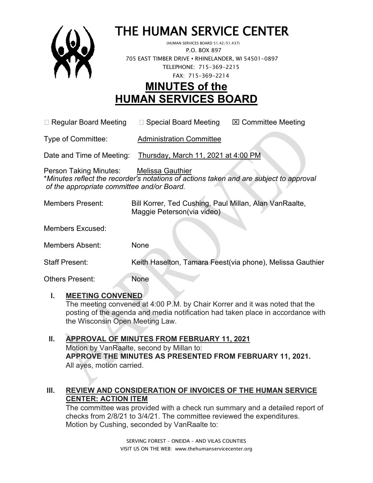

# THE HUMAN SERVICE CENTER (HUMAN SERVICES BOARD 51.42/51.437)

 P.O. BOX 897 705 EAST TIMBER DRIVE **•** RHINELANDER, WI 54501-0897 TELEPHONE: 715-369-2215 FAX: 715-369-2214

## **MINUTES of the HUMAN SERVICES BOARD**

 $\Box$  Regular Board Meeting  $\Box$  Special Board Meeting  $\Box$  Committee Meeting

Type of Committee: Administration Committee

Date and Time of Meeting: Thursday, March 11, 2021 at 4:00 PM

Person Taking Minutes: Melissa Gauthier \**Minutes reflect the recorder's notations of actions taken and are subject to approval of the appropriate committee and/or Board.*

Members Present: Bill Korrer, Ted Cushing, Paul Millan, Alan VanRaalte, Maggie Peterson(via video)

Members Excused:

Members Absent: None

Staff Present: Keith Haselton, Tamara Feest(via phone), Melissa Gauthier

Others Present: None

### **I. MEETING CONVENED**

The meeting convened at 4:00 P.M. by Chair Korrer and it was noted that the posting of the agenda and media notification had taken place in accordance with the Wisconsin Open Meeting Law.

#### **II. APPROVAL OF MINUTES FROM FEBRUARY 11, 2021** Motion by VanRaalte, second by Millan to: **APPROVE THE MINUTES AS PRESENTED FROM FEBRUARY 11, 2021.**  All ayes, motion carried.

### **III. REVIEW AND CONSIDERATION OF INVOICES OF THE HUMAN SERVICE CENTER: ACTION ITEM**

The committee was provided with a check run summary and a detailed report of checks from 2/8/21 to 3/4/21. The committee reviewed the expenditures. Motion by Cushing, seconded by VanRaalte to: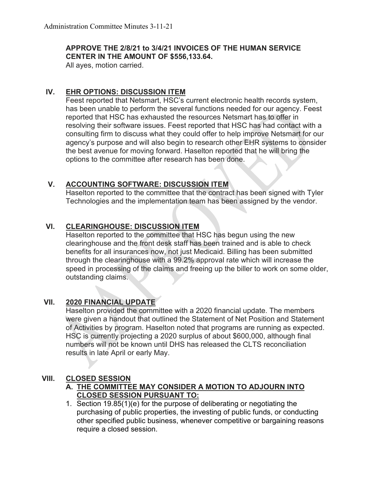#### **APPROVE THE 2/8/21 to 3/4/21 INVOICES OF THE HUMAN SERVICE CENTER IN THE AMOUNT OF \$556,133.64.**

All ayes, motion carried.

#### **IV. EHR OPTIONS: DISCUSSION ITEM**

Feest reported that Netsmart, HSC's current electronic health records system, has been unable to perform the several functions needed for our agency. Feest reported that HSC has exhausted the resources Netsmart has to offer in resolving their software issues. Feest reported that HSC has had contact with a consulting firm to discuss what they could offer to help improve Netsmart for our agency's purpose and will also begin to research other EHR systems to consider the best avenue for moving forward. Haselton reported that he will bring the options to the committee after research has been done.

#### **V. ACCOUNTING SOFTWARE: DISCUSSION ITEM**

Haselton reported to the committee that the contract has been signed with Tyler Technologies and the implementation team has been assigned by the vendor.

#### **VI. CLEARINGHOUSE: DISCUSSION ITEM**

Haselton reported to the committee that HSC has begun using the new clearinghouse and the front desk staff has been trained and is able to check benefits for all insurances now, not just Medicaid. Billing has been submitted through the clearinghouse with a 99.2% approval rate which will increase the speed in processing of the claims and freeing up the biller to work on some older, outstanding claims.

#### **VII. 2020 FINANCIAL UPDATE**

Haselton provided the committee with a 2020 financial update. The members were given a handout that outlined the Statement of Net Position and Statement of Activities by program. Haselton noted that programs are running as expected. HSC is currently projecting a 2020 surplus of about \$600,000, although final numbers will not be known until DHS has released the CLTS reconciliation results in late April or early May.

#### **VIII. CLOSED SESSION**

#### **A. THE COMMITTEE MAY CONSIDER A MOTION TO ADJOURN INTO CLOSED SESSION PURSUANT TO:**

1. Section 19.85(1)(e) for the purpose of deliberating or negotiating the purchasing of public properties, the investing of public funds, or conducting other specified public business, whenever competitive or bargaining reasons require a closed session.